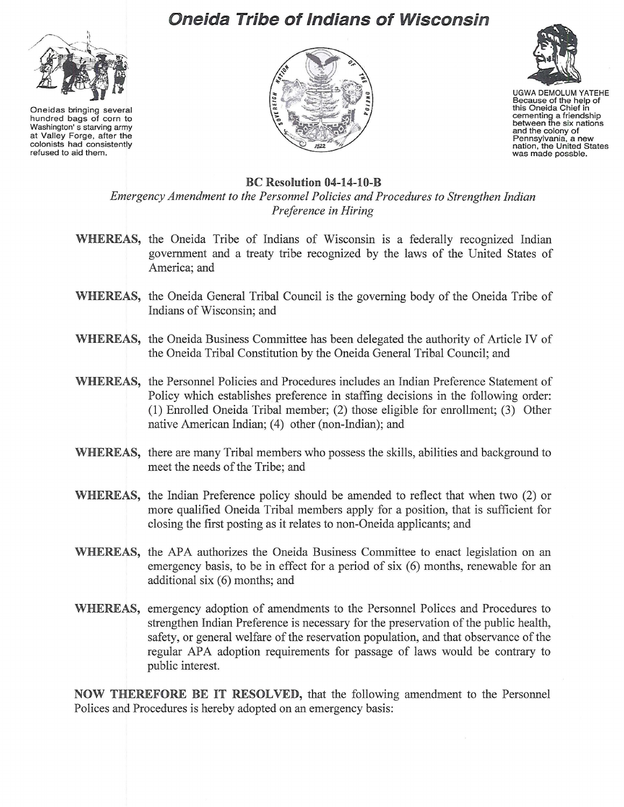

Oneidas bringing several hundred bags of corn to Washington's starving army at Valley Forge, after the colonists had consistently refused to aid them.

## **Oneida Tribe of Indians of Wisconsin**





UGWA DEMOLUM YATEHE Because of the help of this Oneida Chief in cementing a friendship<br>between the six nations and the colony of Pennsylvania, a new<br>nation, the United States<br>was made possble.

## BC Resolution 04-14-10-B

*Emergency Amendment to the Personnel Policies and Procedures to Strengthen Indian Preference in Hiring*

- WHEREAS, the Oneida Tribe of Indians of Wisconsin is a federally recognized Indian government and a treaty tribe recognized by the laws of the United States of America; and
- WHEREAS, the Oneida General Tribal Council is the governing body of the Oneida Tribe of Indians of Wisconsin; and
- WHEREAS, the Oneida Business Committee has been delegated the authority of Article IV of the Oneida Tribal Constitution by the Oneida General Tribal Council; and
- WHEREAS, the Personnel Policies and Procedures includes an Indian Preference Statement of Policy which establishes preference in staffing decisions in the following order: (1) Enrolled Oneida Tribal member; (2) those eligible for enrollment; (3) Other native American Indian; (4) other (non-Indian); and
- WHEREAS, there are many Tribal members who possess the skills, abilities and background to meet the needs of the Tribe; and
- WHEREAS, the Indian Preference policy should be amended to reflect that when two (2) or more qualified Oneida Tribal members apply for a position, that is sufficient for closing the first posting as it relates to non-Oneida applicants; and
- WHEREAS, the APA authorizes the Oneida Business Committee to enact legislation on an emergency basis, to be in effect for a period of six (6) months, renewable for an additional six (6) months; and
- WHEREAS, emergency adoption of amendments to the Personnel Polices and Procedures to strengthen Indian Preference is necessary for the preservation of the public health, safety, or general welfare of the reservation population, and that observance of the regular APA adoption requirements for passage of laws would be contrary to public interest.

NOW THEREFORE BE IT RESOLVED, that the following amendment to the Personnel Polices and Procedures is hereby adopted on an emergency basis: